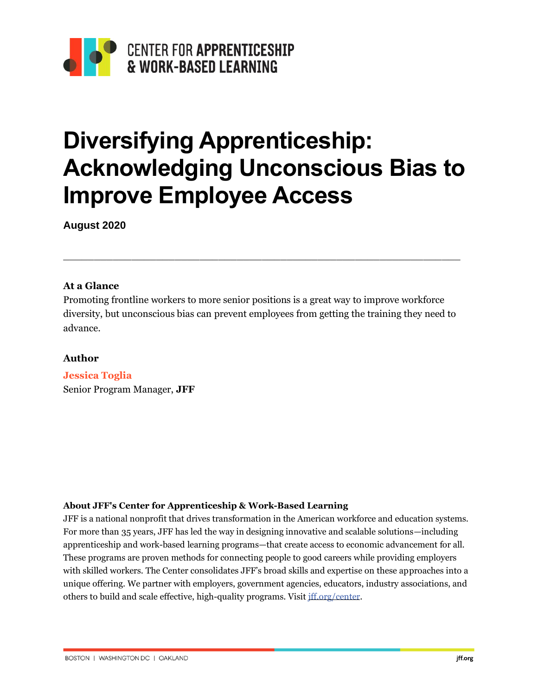

# **Diversifying Apprenticeship: Acknowledging Unconscious Bias to Improve Employee Access**

**August 2020**

### **At a Glance**

Promoting frontline workers to more senior positions is a great way to improve workforce diversity, but unconscious bias can prevent employees from getting the training they need to advance.

\_\_\_\_\_\_\_\_\_\_\_\_\_\_\_\_\_\_\_\_\_\_\_\_\_\_\_\_\_\_\_\_\_\_\_\_\_\_\_\_\_\_\_\_\_\_\_\_\_\_\_\_\_\_\_\_\_\_\_\_\_\_\_\_

### **Author**

**Jessica Toglia** Senior Program Manager, **JFF**

#### **About JFF's Center for Apprenticeship & Work-Based Learning**

JFF is a national nonprofit that drives transformation in the American workforce and education systems. For more than 35 years, JFF has led the way in designing innovative and scalable solutions—including apprenticeship and work-based learning programs—that create access to economic advancement for all. These programs are proven methods for connecting people to good careers while providing employers with skilled workers. The Center consolidates JFF's broad skills and expertise on these approaches into a unique offering. We partner with employers, government agencies, educators, industry associations, and others to build and scale effective, high-quality programs. Visit [jff.org/center.](http://jff.org/center)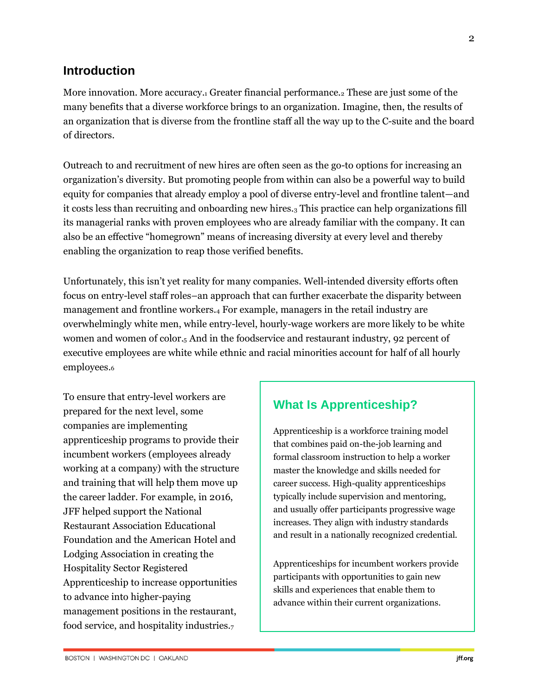### **Introduction**

More innovation. More accuracy.<sub>1</sub> Greater financial performance.<sub>2</sub> These are just some of the many benefits that a diverse workforce brings to an organization. Imagine, then, the results of an organization that is diverse from the frontline staff all the way up to the C-suite and the board of directors.

Outreach to and recruitment of new hires are often seen as the go-to options for increasing an organization's diversity. But promoting people from within can also be a powerful way to build equity for companies that already employ a pool of diverse entry-level and frontline talent—and it costs less than recruiting and onboarding new hires.<sup>3</sup> This practice can help organizations fill its managerial ranks with proven employees who are already familiar with the company. It can also be an effective "homegrown" means of increasing diversity at every level and thereby enabling the organization to reap those verified benefits.

Unfortunately, this isn't yet reality for many companies. Well-intended diversity efforts often focus on entry-level staff roles–an approach that can further exacerbate the disparity between management and frontline workers.<sup>4</sup> For example, managers in the retail industry are overwhelmingly white men, while entry-level, hourly-wage workers are more likely to be white women and women of color.<sup>5</sup> And in the foodservice and restaurant industry, 92 percent of executive employees are white while ethnic and racial minorities account for half of all hourly employees.<sup>6</sup>

To ensure that entry-level workers are prepared for the next level, some companies are implementing apprenticeship programs to provide their incumbent workers (employees already working at a company) with the structure and training that will help them move up the career ladder. For example, in 2016, JFF helped support the National Restaurant Association Educational Foundation and the American Hotel and Lodging Association in creating the Hospitality Sector Registered Apprenticeship to increase opportunities to advance into higher-paying management positions in the restaurant, food service, and hospitality industries.<sup>7</sup>

### **What Is Apprenticeship?**

Apprenticeship is a workforce training model that combines paid on-the-job learning and formal classroom instruction to help a worker master the knowledge and skills needed for career success. High-quality apprenticeships typically include supervision and mentoring, and usually offer participants progressive wage increases. They align with industry standards and result in a nationally recognized credential.

Apprenticeships for incumbent workers provide participants with opportunities to gain new skills and experiences that enable them to advance within their current organizations.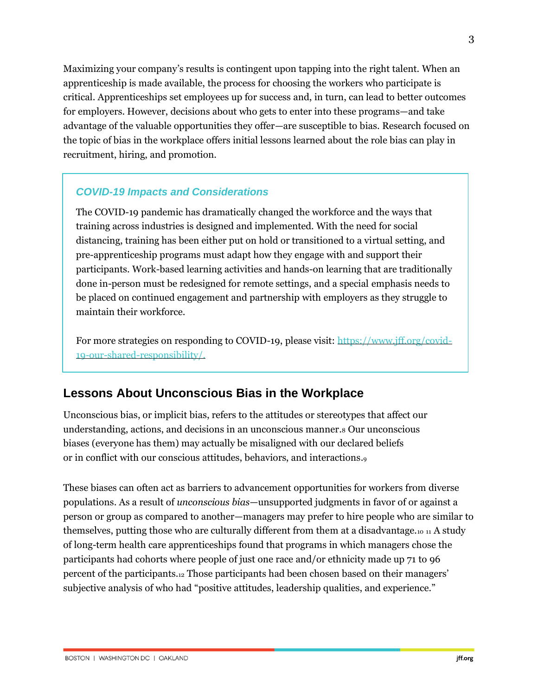Maximizing your company's results is contingent upon tapping into the right talent. When an apprenticeship is made available, the process for choosing the workers who participate is critical. Apprenticeships set employees up for success and, in turn, can lead to better outcomes for employers. However, decisions about who gets to enter into these programs—and take advantage of the valuable opportunities they offer—are susceptible to bias. Research focused on the topic of bias in the workplace offers initial lessons learned about the role bias can play in recruitment, hiring, and promotion.

### *COVID-19 Impacts and Considerations*

The COVID-19 pandemic has dramatically changed the workforce and the ways that training across industries is designed and implemented. With the need for social distancing, training has been either put on hold or transitioned to a virtual setting, and pre-apprenticeship programs must adapt how they engage with and support their participants. Work-based learning activities and hands-on learning that are traditionally done in-person must be redesigned for remote settings, and a special emphasis needs to be placed on continued engagement and partnership with employers as they struggle to maintain their workforce.

For more strategies on responding to COVID-19, please visit: [https://www.jff.org/covid-](https://www.jff.org/covid-19-our-shared-responsibility/)[19-our-shared-responsibility/.](https://www.jff.org/covid-19-our-shared-responsibility/)

### **Lessons About Unconscious Bias in the Workplace**

Unconscious bias, or implicit bias, refers to the attitudes or stereotypes that affect our understanding, actions, and decisions in an unconscious manner.<sup>8</sup> Our unconscious biases (everyone has them) may actually be misaligned with our declared beliefs or in conflict with our conscious attitudes, behaviors, and interactions.<sup>9</sup>

These biases can often act as barriers to advancement opportunities for workers from diverse populations. As a result of *unconscious bias*—unsupported judgments in favor of or against a person or group as compared to another—managers may prefer to hire people who are similar to themselves, putting those who are culturally different from them at a disadvantage.<sup>10</sup> <sup>11</sup> A study of long-term health care apprenticeships found that programs in which managers chose the participants had cohorts where people of just one race and/or ethnicity made up 71 to 96 percent of the participants.<sup>12</sup> Those participants had been chosen based on their managers' subjective analysis of who had "positive attitudes, leadership qualities, and experience."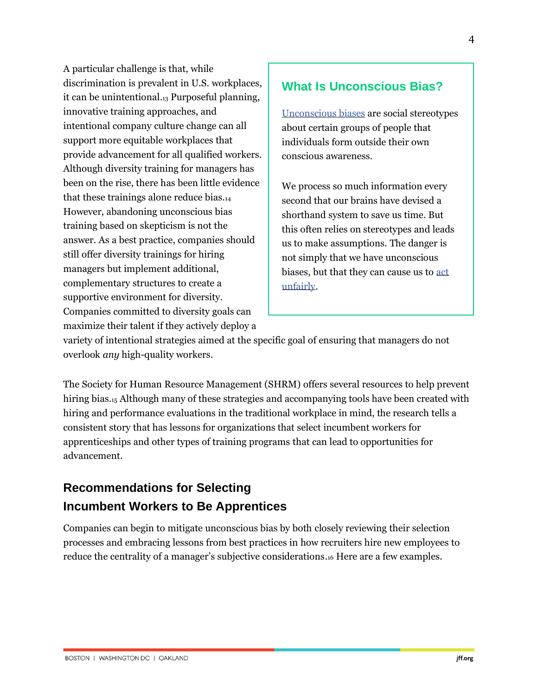A particular challenge is that, while discrimination is prevalent in U.S. workplaces, it can be unintentional.<sup>13</sup> Purposeful planning, innovative training approaches, and intentional company culture change can all support more equitable workplaces that provide advancement for all qualified workers. Although diversity training for managers has been on the rise, there has been little evidence that these trainings alone reduce bias.<sup>14</sup> However, abandoning unconscious bias training based on skepticism is not the answer. As a best practice, companies should still offer diversity trainings for hiring managers but implement additional, complementary structures to create a supportive environment for diversity. Companies committed to diversity goals can maximize their talent if they actively deploy a

### **What Is Unconscious Bias?**

[Unconscious biases](https://diversity.ucsf.edu/resources/unconscious-bias) are social stereotypes about certain groups of people that individuals form outside their own conscious awareness.

We process so much information every second that our brains have devised a shorthand system to save us time. But this often relies on stereotypes and leads us to make assumptions. The danger is not simply that we have unconscious biases, but that they can cause us to [act](https://www.mindtools.com/pages/article/avoiding-unconscious-bias.htm)  [unfairly.](https://www.mindtools.com/pages/article/avoiding-unconscious-bias.htm)

variety of intentional strategies aimed at the specific goal of ensuring that managers do not overlook *any* high-quality workers.

The Society for Human Resource Management (SHRM) offers several resources to help prevent hiring bias.<sub>15</sub> Although many of these strategies and accompanying tools have been created with hiring and performance evaluations in the traditional workplace in mind, the research tells a consistent story that has lessons for organizations that select incumbent workers for apprenticeships and other types of training programs that can lead to opportunities for advancement.

### **Recommendations for Selecting Incumbent Workers to Be Apprentices**

Companies can begin to mitigate unconscious bias by both closely reviewing their selection processes and embracing lessons from best practices in how recruiters hire new employees to reduce the centrality of a manager's subjective considerations.<sup>16</sup> Here are a few examples.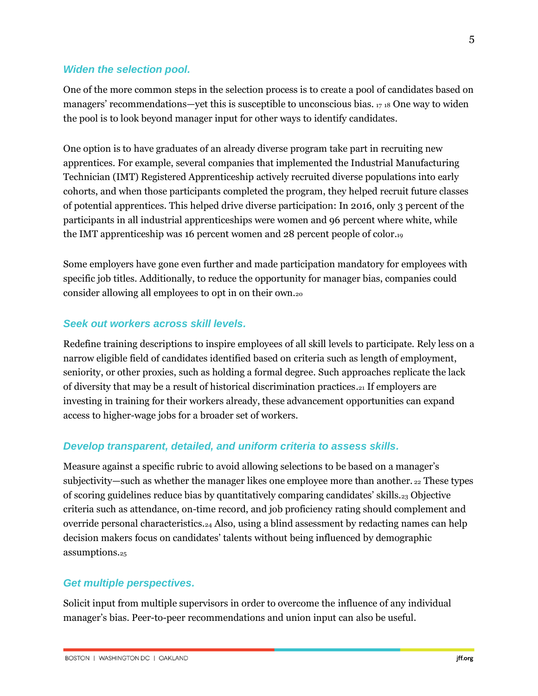#### *Widen the selection pool.*

One of the more common steps in the selection process is to create a pool of candidates based on managers' recommendations—yet this is susceptible to unconscious bias.  $17 \text{ is }$  One way to widen the pool is to look beyond manager input for other ways to identify candidates.

One option is to have graduates of an already diverse program take part in recruiting new apprentices. For example, several companies that implemented the Industrial Manufacturing Technician (IMT) Registered Apprenticeship actively recruited diverse populations into early cohorts, and when those participants completed the program, they helped recruit future classes of potential apprentices. This helped drive diverse participation: In 2016, only 3 percent of the participants in all industrial apprenticeships were women and 96 percent where white, while the IMT apprenticeship was 16 percent women and 28 percent people of color.<sup>19</sup>

Some employers have gone even further and made participation mandatory for employees with specific job titles. Additionally, to reduce the opportunity for manager bias, companies could consider allowing all employees to opt in on their own.<sup>20</sup>

### *Seek out workers across skill levels.*

Redefine training descriptions to inspire employees of all skill levels to participate. Rely less on a narrow eligible field of candidates identified based on criteria such as length of employment, seniority, or other proxies, such as holding a formal degree. Such approaches replicate the lack of diversity that may be a result of historical discrimination practices.<sup>21</sup> If employers are investing in training for their workers already, these advancement opportunities can expand access to higher-wage jobs for a broader set of workers.

#### *Develop transparent, detailed, and uniform criteria to assess skills.*

Measure against a specific rubric to avoid allowing selections to be based on a manager's subjectivity—such as whether the manager likes one employee more than another. <sup>22</sup> These types of scoring guidelines reduce bias by quantitatively comparing candidates' skills.<sup>23</sup> Objective criteria such as attendance, on-time record, and job proficiency rating should complement and override personal characteristics.<sup>24</sup> Also, using a blind assessment by redacting names can help decision makers focus on candidates' talents without being influenced by demographic assumptions.<sup>25</sup>

#### *Get multiple perspectives.*

Solicit input from multiple supervisors in order to overcome the influence of any individual manager's bias. Peer-to-peer recommendations and union input can also be useful.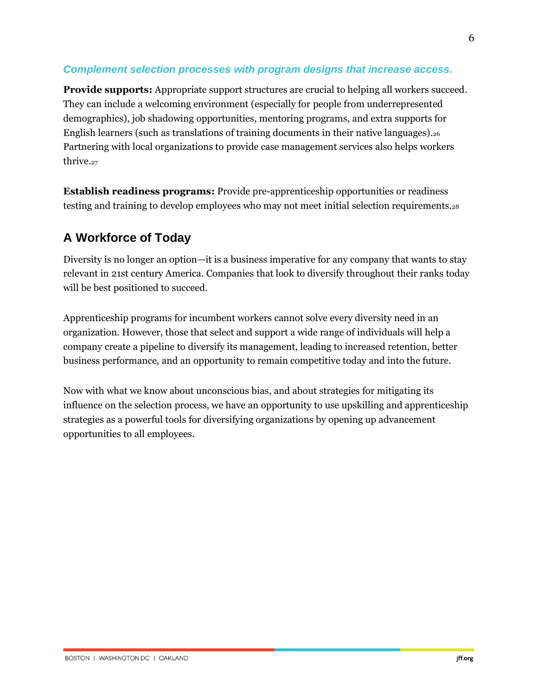### *Complement selection processes with program designs that increase access.*

**Provide supports:** Appropriate support structures are crucial to helping all workers succeed. They can include a welcoming environment (especially for people from underrepresented demographics), job shadowing opportunities, mentoring programs, and extra supports for English learners (such as translations of training documents in their native languages).<sup>26</sup> Partnering with local organizations to provide case management services also helps workers thrive.<sub>27</sub>

**Establish readiness programs:** Provide pre-apprenticeship opportunities or readiness testing and training to develop employees who may not meet initial selection requirements.<sup>28</sup>

### **A Workforce of Today**

Diversity is no longer an option—it is a business imperative for any company that wants to stay relevant in 21st century America. Companies that look to diversify throughout their ranks today will be best positioned to succeed.

Apprenticeship programs for incumbent workers cannot solve every diversity need in an organization. However, those that select and support a wide range of individuals will help a company create a pipeline to diversify its management, leading to increased retention, better business performance, and an opportunity to remain competitive today and into the future.

Now with what we know about unconscious bias, and about strategies for mitigating its influence on the selection process, we have an opportunity to use upskilling and apprenticeship strategies as a powerful tools for diversifying organizations by opening up advancement opportunities to all employees.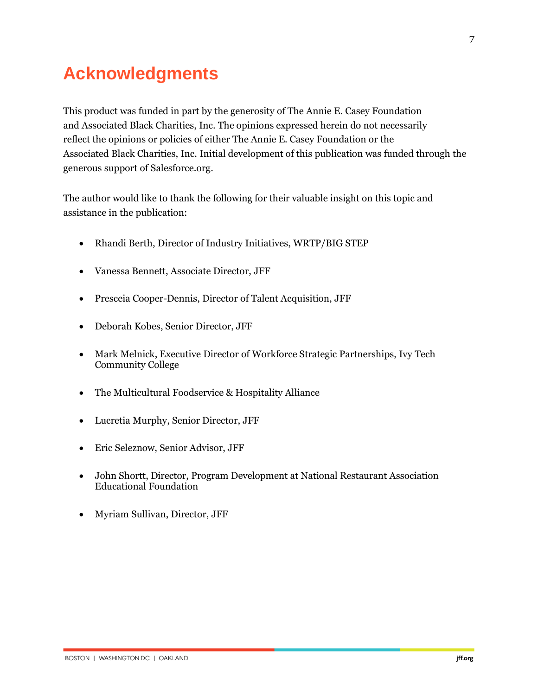# **Acknowledgments**

This product was funded in part by the generosity of The Annie E. Casey Foundation and Associated Black Charities, Inc. The opinions expressed herein do not necessarily reflect the opinions or policies of either The Annie E. Casey Foundation or the Associated Black Charities, Inc. Initial development of this publication was funded through the generous support of Salesforce.org.

The author would like to thank the following for their valuable insight on this topic and assistance in the publication:

- Rhandi Berth, Director of Industry Initiatives, WRTP/BIG STEP
- Vanessa Bennett, Associate Director, JFF
- Presceia Cooper-Dennis, Director of Talent Acquisition, JFF
- Deborah Kobes, Senior Director, JFF
- Mark Melnick, Executive Director of Workforce Strategic Partnerships, Ivy Tech Community College
- The Multicultural Foodservice & Hospitality Alliance
- Lucretia Murphy, Senior Director, JFF
- Eric Seleznow, Senior Advisor, JFF
- John Shortt, Director, Program Development at National Restaurant Association Educational Foundation
- Myriam Sullivan, Director, JFF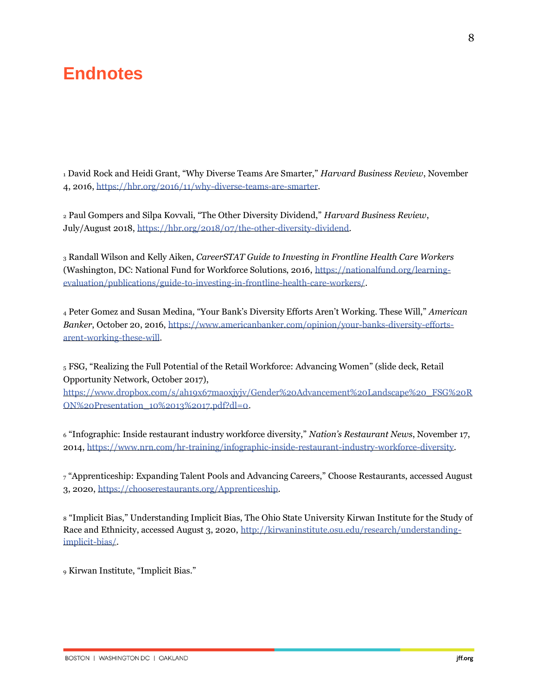## **Endnotes**

<sup>1</sup> David Rock and Heidi Grant, "Why Diverse Teams Are Smarter," *Harvard Business Review*, November 4, 2016[, https://hbr.org/2016/11/why-diverse-teams-are-smarter.](https://hbr.org/2016/11/why-diverse-teams-are-smarter)

<sup>2</sup> Paul Gompers and Silpa Kovvali, "The Other Diversity Dividend," *Harvard Business Review*, July/August 2018, [https://hbr.org/2018/07/the-other-diversity-dividend.](https://hbr.org/2018/07/the-other-diversity-dividend)

<sup>3</sup> Randall Wilson and Kelly Aiken, *CareerSTAT Guide to Investing in Frontline Health Care Workers* (Washington, DC: National Fund for Workforce Solutions, 2016, [https://nationalfund.org/learning](https://nationalfund.org/learning-evaluation/publications/guide-to-investing-in-frontline-health-care-workers/)[evaluation/publications/guide-to-investing-in-frontline-health-care-workers/.](https://nationalfund.org/learning-evaluation/publications/guide-to-investing-in-frontline-health-care-workers/)

<sup>4</sup> Peter Gomez and Susan Medina, "Your Bank's Diversity Efforts Aren't Working. These Will," *American Banker*, October 20, 2016, [https://www.americanbanker.com/opinion/your-banks-diversity-efforts](https://www.americanbanker.com/opinion/your-banks-diversity-efforts-arent-working-these-will)[arent-working-these-will.](https://www.americanbanker.com/opinion/your-banks-diversity-efforts-arent-working-these-will)

<sup>5</sup> FSG, "Realizing the Full Potential of the Retail Workforce: Advancing Women" (slide deck, Retail Opportunity Network, October 2017),

[https://www.dropbox.com/s/ah19x67maoxjyjv/Gender%20Advancement%20Landscape%20\\_FSG%20R](https://www.dropbox.com/s/ah19x67maoxjyjv/Gender%20Advancement%20Landscape%20_FSG%20RON%20Presentation_10%2013%2017.pdf?dl=0) [ON%20Presentation\\_10%2013%2017.pdf?dl=0.](https://www.dropbox.com/s/ah19x67maoxjyjv/Gender%20Advancement%20Landscape%20_FSG%20RON%20Presentation_10%2013%2017.pdf?dl=0)

<sup>6</sup> "Infographic: Inside restaurant industry workforce diversity," *Nation's Restaurant News*, November 17, 2014, [https://www.nrn.com/hr-training/infographic-inside-restaurant-industry-workforce-diversity.](https://www.nrn.com/hr-training/infographic-inside-restaurant-industry-workforce-diversity)

<sup>7</sup> "Apprenticeship: Expanding Talent Pools and Advancing Careers," Choose Restaurants, accessed August 3, 2020, [https://chooserestaurants.org/Apprenticeship.](https://chooserestaurants.org/Apprenticeship)

<sup>8</sup> "Implicit Bias," Understanding Implicit Bias, The Ohio State University Kirwan Institute for the Study of Race and Ethnicity, accessed August 3, 2020, [http://kirwaninstitute.osu.edu/research/understanding](http://kirwaninstitute.osu.edu/research/understanding-implicit-bias/)[implicit-bias/.](http://kirwaninstitute.osu.edu/research/understanding-implicit-bias/)

<sup>9</sup> Kirwan Institute, "Implicit Bias."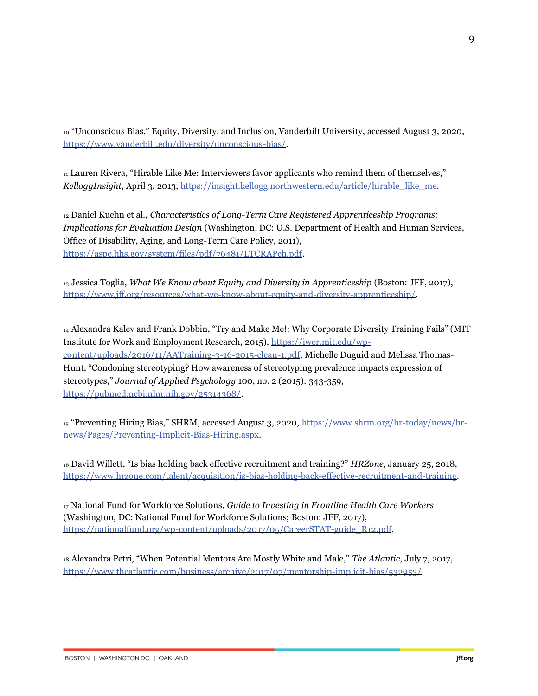<sup>10</sup> "Unconscious Bias," Equity, Diversity, and Inclusion, Vanderbilt University, accessed August 3, 2020, [https://www.vanderbilt.edu/diversity/unconscious-bias/.](https://www.vanderbilt.edu/diversity/unconscious-bias/)

<sup>11</sup> Lauren Rivera, "Hirable Like Me: Interviewers favor applicants who remind them of themselves," *KelloggInsight*, April 3, 2013, [https://insight.kellogg.northwestern.edu/article/hirable\\_like\\_me.](https://insight.kellogg.northwestern.edu/article/hirable_like_me)

<sup>12</sup> Daniel Kuehn et al., *Characteristics of Long-Term Care Registered Apprenticeship Programs: Implications for Evaluation Design* (Washington, DC: U.S. Department of Health and Human Services, Office of Disability, Aging, and Long-Term Care Policy, 2011), [https://aspe.hhs.gov/system/files/pdf/76481/LTCRAPch.pdf.](https://aspe.hhs.gov/system/files/pdf/76481/LTCRAPch.pdf)

<sup>13</sup> Jessica Toglia, *What We Know about Equity and Diversity in Apprenticeship* (Boston: JFF, 2017), [https://www.jff.org/resources/what-we-know-about-equity-and-diversity-apprenticeship/.](https://www.jff.org/resources/what-we-know-about-equity-and-diversity-apprenticeship/)

<sup>14</sup> Alexandra Kalev and Frank Dobbin, "Try and Make Me!: Why Corporate Diversity Training Fails" (MIT Institute for Work and Employment Research, 2015), [https://iwer.mit.edu/wp](https://iwer.mit.edu/wp-content/uploads/2016/11/AATraining-3-16-2015-clean-1.pdf)[content/uploads/2016/11/AATraining-3-16-2015-clean-1.pdf;](https://iwer.mit.edu/wp-content/uploads/2016/11/AATraining-3-16-2015-clean-1.pdf) Michelle Duguid and Melissa Thomas-Hunt, "Condoning stereotyping? How awareness of stereotyping prevalence impacts expression of stereotypes," *Journal of Applied Psychology* 100, no. 2 (2015): 343-359, [https://pubmed.ncbi.nlm.nih.gov/25314368/.](https://pubmed.ncbi.nlm.nih.gov/25314368/)

<sup>15</sup> "Preventing Hiring Bias," SHRM, accessed August 3, 2020, [https://www.shrm.org/hr-today/news/hr](https://www.shrm.org/hr-today/news/hr-news/Pages/Preventing-Implicit-Bias-Hiring.aspx)[news/Pages/Preventing-Implicit-Bias-Hiring.aspx.](https://www.shrm.org/hr-today/news/hr-news/Pages/Preventing-Implicit-Bias-Hiring.aspx)

<sup>16</sup> David Willett, "Is bias holding back effective recruitment and training?" *HRZone*, January 25, 2018, [https://www.hrzone.com/talent/acquisition/is-bias-holding-back-effective-recruitment-and-training.](https://www.hrzone.com/talent/acquisition/is-bias-holding-back-effective-recruitment-and-training)

<sup>17</sup> National Fund for Workforce Solutions, *Guide to Investing in Frontline Health Care Workers* (Washington, DC: National Fund for Workforce Solutions; Boston: JFF, 2017), [https://nationalfund.org/wp-content/uploads/2017/05/CareerSTAT-guide\\_R12.pdf.](https://nationalfund.org/wp-content/uploads/2017/05/CareerSTAT-guide_R12.pdf)

<sup>18</sup> Alexandra Petri, "When Potential Mentors Are Mostly White and Male," *The Atlantic*, July 7, 2017, [https://www.theatlantic.com/business/archive/2017/07/mentorship-implicit-bias/532953/.](https://www.theatlantic.com/business/archive/2017/07/mentorship-implicit-bias/532953/)